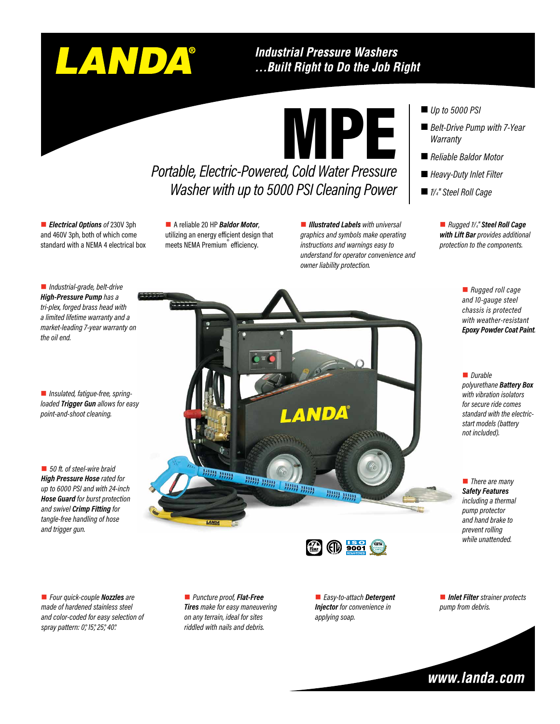# LANDA®

#### **Industrial Pressure Washers** ... Built Right to Do the Job Right

MPE

## *Portable, Electric-Powered, Cold Water Pressure Washer with up to 5000 PSI Cleaning Power*

■ *Electrical Options of 230V 3ph* and 460V 3ph, both of which come standard with a NEMA 4 electrical box

■ A reliable 20 HP **Baldor Motor**, utilizing an energy efficient design that meets NEMA Premium<sup>®</sup> efficiency.

**n** *Illustrated Labels with universal graphics and symbols make operating instructions and warnings easy to understand for operator convenience and owner liability protection.*

#### ■ *Up to 5000 PSI*

- *Belt-Drive Pump with 7-Year Warranty*
- Reliable Baldor Motor
- *Heavy-Duty Inlet Filter*
- *1 1 /4" Steel Roll Cage*

n *Rugged 11 /4" Steel Roll Cage with Lift Bar provides additional protection to the components.*

> ■ *Rugged roll cage and 10-gauge steel chassis is protected with weather-resistant Epoxy Powder Coat Paint.*

■ *Durable polyurethane Battery Box with vibration isolators for secure ride comes standard with the electricstart models (battery not included).*

**n** *There are many Safety Features including a thermal pump protector and hand brake to prevent rolling while unattended.*

■ *Industrial-grade, belt-drive High-Pressure Pump has a tri-plex, forged brass head with a limited lifetime warranty and a market-leading 7-year warranty on the oil end.*

■ *Insulated, fatigue-free, springloaded Trigger Gun allows for easy point-and-shoot cleaning.*

■ 50 ft. of steel-wire braid *High Pressure Hose rated for up to 6000 PSI and with 24-inch Hose Guard for burst protection and swivel Crimp Fitting for tangle-free handling of hose and trigger gun.*

ANDA **HH HHH** HHH HHH **BBB BBB HHH HHH** 

> $(D)$  9001 **PUMP WARRANTY**

■ *Four quick-couple Nozzles* are *made of hardened stainless steel and color-coded for easy selection of spray pattern: 0°, 15°, 25°, 40°.*

■ *Puncture proof, Flat-Free Tires make for easy maneuvering on any terrain, ideal for sites riddled with nails and debris.*

■ *Easy-to-attach Detergent Injector for convenience in applying soap.*

■ *Inlet Filter strainer protects pump from debris.*